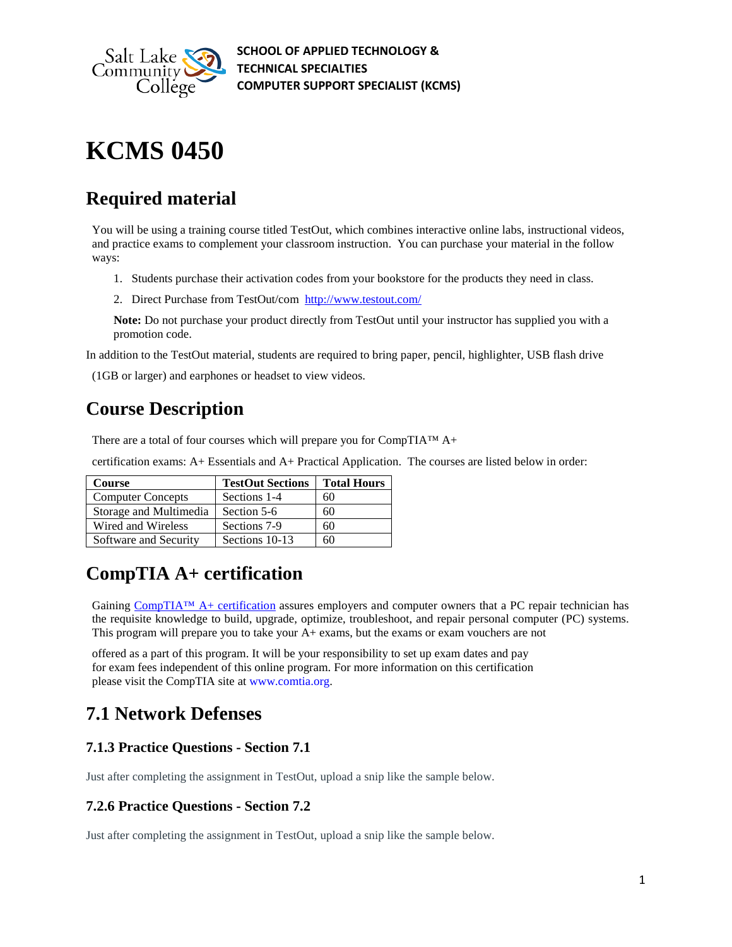

**SCHOOL OF APPLIED TECHNOLOGY & TECHNICAL SPECIALTIES COMPUTER SUPPORT SPECIALIST (KCMS)**

# **KCMS 0450**

# **Required material**

You will be using a training course titled TestOut, which combines interactive online labs, instructional videos, and practice exams to complement your classroom instruction. You can purchase your material in the follow ways:

- 1. Students purchase their activation codes from your bookstore for the products they need in class.
- 2. Direct Purchase from TestOut/com <http://www.testout.com/>

**Note:** Do not purchase your product directly from TestOut until your instructor has supplied you with a promotion code.

In addition to the TestOut material, students are required to bring paper, pencil, highlighter, USB flash drive

(1GB or larger) and earphones or headset to view videos.

# **Course Description**

There are a total of four courses which will prepare you for CompTIA™ A+

certification exams: A+ Essentials and A+ Practical Application. The courses are listed below in order:

| <b>Course</b>            | <b>TestOut Sections</b> | <b>Total Hours</b> |
|--------------------------|-------------------------|--------------------|
| <b>Computer Concepts</b> | Sections 1-4            | 60                 |
| Storage and Multimedia   | Section 5-6             | 60                 |
| Wired and Wireless       | Sections 7-9            | 60                 |
| Software and Security    | Sections 10-13          | 60                 |

# **CompTIA A+ certification**

Gaining CompTIA<sup>TM</sup> A+ certification assures employers and computer owners that a PC repair technician has the requisite knowledge to build, upgrade, optimize, troubleshoot, and repair personal computer (PC) systems. This program will prepare you to take your A+ exams, but the exams or exam vouchers are not

offered as a part of this program. It will be your responsibility to set up exam dates and pay for exam fees independent of this online program. For more information on this certification please visit the CompTIA site at [www.comtia.org.](http://www.comtia.org/)

# **7.1 Network Defenses**

## **7.1.3 Practice Questions - Section 7.1**

Just after completing the assignment in TestOut, upload a snip like the sample below.

#### **7.2.6 Practice Questions - Section 7.2**

Just after completing the assignment in TestOut, upload a snip like the sample below.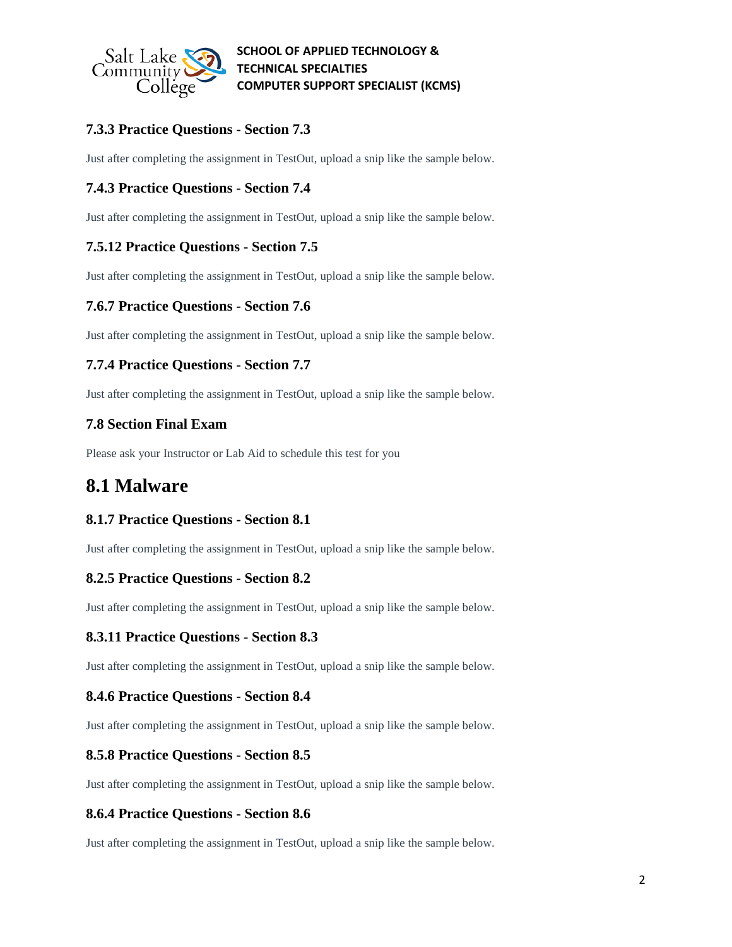

# **7.3.3 Practice Questions - Section 7.3**

Just after completing the assignment in TestOut, upload a snip like the sample below.

### **7.4.3 Practice Questions - Section 7.4**

Just after completing the assignment in TestOut, upload a snip like the sample below.

#### **7.5.12 Practice Questions - Section 7.5**

Just after completing the assignment in TestOut, upload a snip like the sample below.

#### **7.6.7 Practice Questions - Section 7.6**

Just after completing the assignment in TestOut, upload a snip like the sample below.

#### **7.7.4 Practice Questions - Section 7.7**

Just after completing the assignment in TestOut, upload a snip like the sample below.

#### **7.8 Section Final Exam**

Please ask your Instructor or Lab Aid to schedule this test for you

# **8.1 Malware**

#### **8.1.7 Practice Questions - Section 8.1**

Just after completing the assignment in TestOut, upload a snip like the sample below.

#### **8.2.5 Practice Questions - Section 8.2**

Just after completing the assignment in TestOut, upload a snip like the sample below.

#### **8.3.11 Practice Questions - Section 8.3**

Just after completing the assignment in TestOut, upload a snip like the sample below.

#### **8.4.6 Practice Questions - Section 8.4**

Just after completing the assignment in TestOut, upload a snip like the sample below.

#### **8.5.8 Practice Questions - Section 8.5**

Just after completing the assignment in TestOut, upload a snip like the sample below.

#### **8.6.4 Practice Questions - Section 8.6**

Just after completing the assignment in TestOut, upload a snip like the sample below.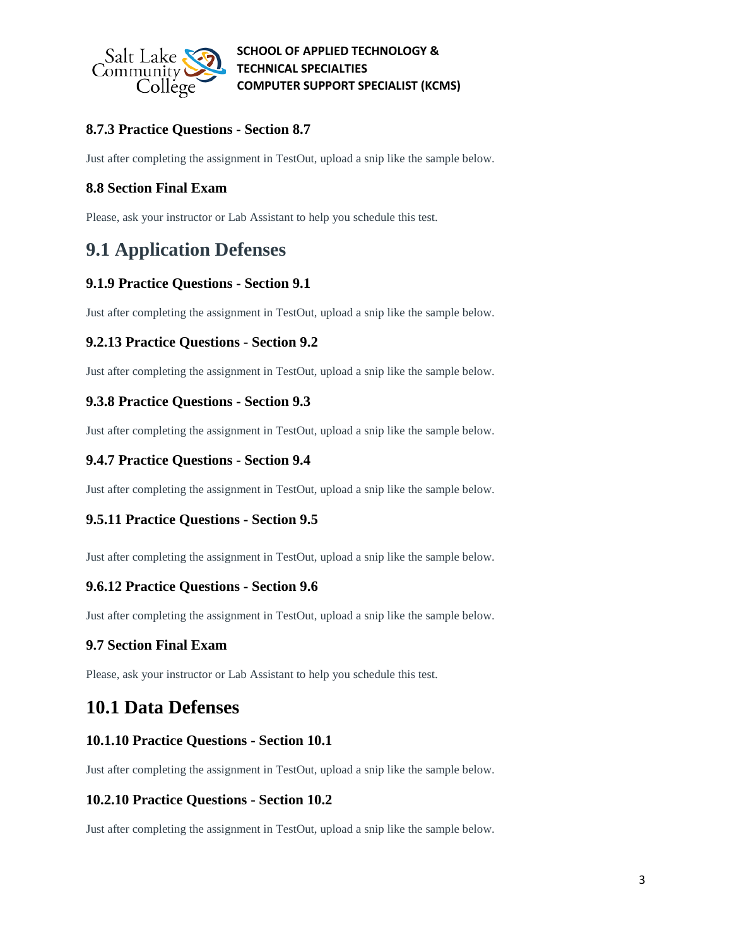

# **8.7.3 Practice Questions - Section 8.7**

Just after completing the assignment in TestOut, upload a snip like the sample below.

### **8.8 Section Final Exam**

Please, ask your instructor or Lab Assistant to help you schedule this test.

# **9.1 Application Defenses**

### **9.1.9 Practice Questions - Section 9.1**

Just after completing the assignment in TestOut, upload a snip like the sample below.

### **9.2.13 Practice Questions - Section 9.2**

Just after completing the assignment in TestOut, upload a snip like the sample below.

### **9.3.8 Practice Questions - Section 9.3**

Just after completing the assignment in TestOut, upload a snip like the sample below.

### **9.4.7 Practice Questions - Section 9.4**

Just after completing the assignment in TestOut, upload a snip like the sample below.

### **9.5.11 Practice Questions - Section 9.5**

Just after completing the assignment in TestOut, upload a snip like the sample below.

#### **9.6.12 Practice Questions - Section 9.6**

Just after completing the assignment in TestOut, upload a snip like the sample below.

#### **9.7 Section Final Exam**

Please, ask your instructor or Lab Assistant to help you schedule this test.

# **10.1 Data Defenses**

#### **10.1.10 Practice Questions - Section 10.1**

Just after completing the assignment in TestOut, upload a snip like the sample below.

#### **10.2.10 Practice Questions - Section 10.2**

Just after completing the assignment in TestOut, upload a snip like the sample below.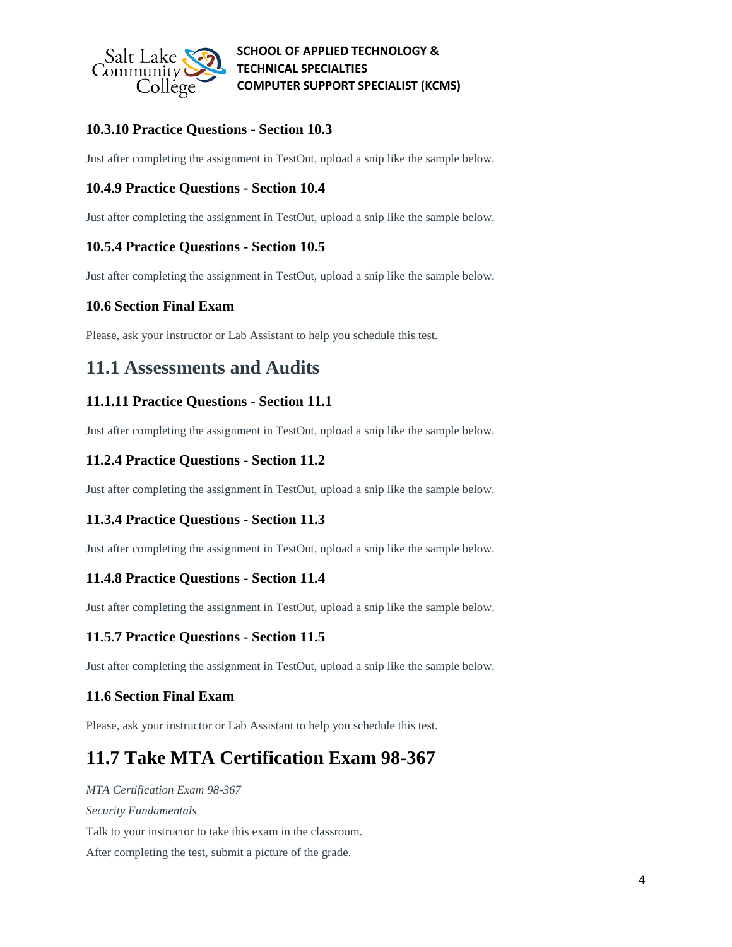

### **10.3.10 Practice Questions - Section 10.3**

Just after completing the assignment in TestOut, upload a snip like the sample below.

#### **10.4.9 Practice Questions - Section 10.4**

Just after completing the assignment in TestOut, upload a snip like the sample below.

#### **10.5.4 Practice Questions - Section 10.5**

Just after completing the assignment in TestOut, upload a snip like the sample below.

#### **10.6 Section Final Exam**

Please, ask your instructor or Lab Assistant to help you schedule this test.

# **11.1 Assessments and Audits**

#### **11.1.11 Practice Questions - Section 11.1**

Just after completing the assignment in TestOut, upload a snip like the sample below.

#### **11.2.4 Practice Questions - Section 11.2**

Just after completing the assignment in TestOut, upload a snip like the sample below.

#### **11.3.4 Practice Questions - Section 11.3**

Just after completing the assignment in TestOut, upload a snip like the sample below.

#### **11.4.8 Practice Questions - Section 11.4**

Just after completing the assignment in TestOut, upload a snip like the sample below.

#### **11.5.7 Practice Questions - Section 11.5**

Just after completing the assignment in TestOut, upload a snip like the sample below.

#### **11.6 Section Final Exam**

Please, ask your instructor or Lab Assistant to help you schedule this test.

# **11.7 Take MTA Certification Exam 98-367**

*MTA Certification Exam 98-367 Security Fundamentals* Talk to your instructor to take this exam in the classroom. After completing the test, submit a picture of the grade.